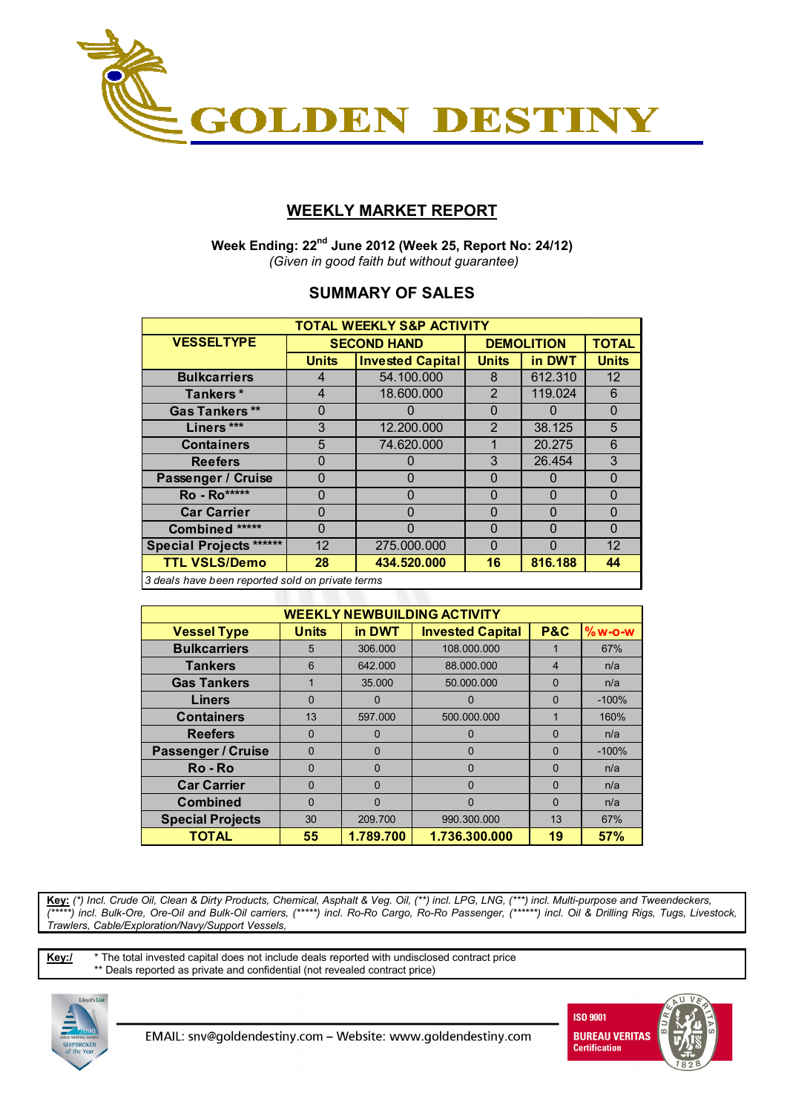

## **WEEKLY MARKET REPORT**

 **Week Ending: 22nd June 2012 (Week 25, Report No: 24/12)**   *(Given in good faith but without guarantee)* 

## **SUMMARY OF SALES**

| <b>TOTAL WEEKLY S&amp;P ACTIVITY</b>             |              |                         |                   |              |                   |  |  |  |  |
|--------------------------------------------------|--------------|-------------------------|-------------------|--------------|-------------------|--|--|--|--|
| <b>VESSELTYPE</b>                                |              | <b>SECOND HAND</b>      | <b>DEMOLITION</b> | <b>TOTAL</b> |                   |  |  |  |  |
|                                                  | <b>Units</b> | <b>Invested Capital</b> | <b>Units</b>      | in DWT       | <b>Units</b>      |  |  |  |  |
| <b>Bulkcarriers</b>                              | 4            | 54.100.000              | 8                 | 612.310      | 12                |  |  |  |  |
| Tankers*                                         | 4            | 18.600.000              | 2                 | 119.024      | 6                 |  |  |  |  |
| <b>Gas Tankers**</b>                             | 0            |                         | $\Omega$          |              | 0                 |  |  |  |  |
| Liners ***                                       | 3            | 12.200.000              | $\overline{2}$    | 38.125       | 5                 |  |  |  |  |
| <b>Containers</b>                                | 5            | 74.620.000              | 1                 | 20.275       | 6                 |  |  |  |  |
| <b>Reefers</b>                                   | 0            | 0                       | 3                 | 26.454       | 3                 |  |  |  |  |
| Passenger / Cruise                               | 0            | $\Omega$                | $\Omega$          | 0            | $\Omega$          |  |  |  |  |
| Ro - Ro*****                                     | O            | ŋ                       | $\Omega$          | <sup>0</sup> | O                 |  |  |  |  |
| <b>Car Carrier</b>                               | O            | 0                       | $\Omega$          | $\Omega$     | $\Omega$          |  |  |  |  |
| Combined *****                                   | $\Omega$     | 0                       | $\Omega$          | $\Omega$     | $\Omega$          |  |  |  |  |
| <b>Special Projects ******</b>                   | 12           | 275.000.000             | $\Omega$          | O            | $12 \overline{ }$ |  |  |  |  |
| <b>TTL VSLS/Demo</b>                             | 28           | 434.520.000             | 16                | 816.188      | 44                |  |  |  |  |
| 2 deals have been reported sold on private terms |              |                         |                   |              |                   |  |  |  |  |

*3 deals have been reported sold on private terms*

| <b>WEEKLY NEWBUILDING ACTIVITY</b> |              |           |                         |                |          |  |  |  |  |
|------------------------------------|--------------|-----------|-------------------------|----------------|----------|--|--|--|--|
| <b>Vessel Type</b>                 | <b>Units</b> | in DWT    | <b>Invested Capital</b> | <b>P&amp;C</b> | $%w-O-W$ |  |  |  |  |
| <b>Bulkcarriers</b>                | 5            | 306.000   | 108.000.000             |                | 67%      |  |  |  |  |
| <b>Tankers</b>                     | 6            | 642.000   | 88.000.000              | 4              | n/a      |  |  |  |  |
| <b>Gas Tankers</b>                 |              | 35.000    | 50.000.000              | $\Omega$       | n/a      |  |  |  |  |
| <b>Liners</b>                      | 0            | $\Omega$  | 0                       | $\Omega$       | $-100%$  |  |  |  |  |
| <b>Containers</b>                  | 13           | 597.000   | 500.000.000             | 1              | 160%     |  |  |  |  |
| <b>Reefers</b>                     | $\Omega$     | $\Omega$  | 0                       | $\Omega$       | n/a      |  |  |  |  |
| <b>Passenger / Cruise</b>          | $\Omega$     | $\Omega$  | 0                       | $\Omega$       | $-100%$  |  |  |  |  |
| Ro-Ro                              | 0            | $\Omega$  | 0                       | $\Omega$       | n/a      |  |  |  |  |
| <b>Car Carrier</b>                 | $\Omega$     | $\Omega$  | $\Omega$                | $\Omega$       | n/a      |  |  |  |  |
| <b>Combined</b>                    | 0            | 0         | 0                       | $\Omega$       | n/a      |  |  |  |  |
| <b>Special Projects</b>            | 30           | 209.700   | 990.300.000             | 13             | 67%      |  |  |  |  |
| <b>TOTAL</b>                       | 55           | 1.789.700 | 1.736.300.000           | 19             | 57%      |  |  |  |  |

**Key:** *(\*) Incl. Crude Oil, Clean & Dirty Products, Chemical, Asphalt & Veg. Oil, (\*\*) incl. LPG, LNG, (\*\*\*) incl. Multi-purpose and Tweendeckers, (\*\*\*\*\*) incl. Bulk-Ore, Ore-Oil and Bulk-Oil carriers, (\*\*\*\*\*) incl. Ro-Ro Cargo, Ro-Ro Passenger, (\*\*\*\*\*\*) incl. Oil & Drilling Rigs, Tugs, Livestock, Trawlers, Cable/Exploration/Navy/Support Vessels,* 

**Key:/** \* The total invested capital does not include deals reported with undisclosed contract price \*\* Deals reported as private and confidential (not revealed contract price)



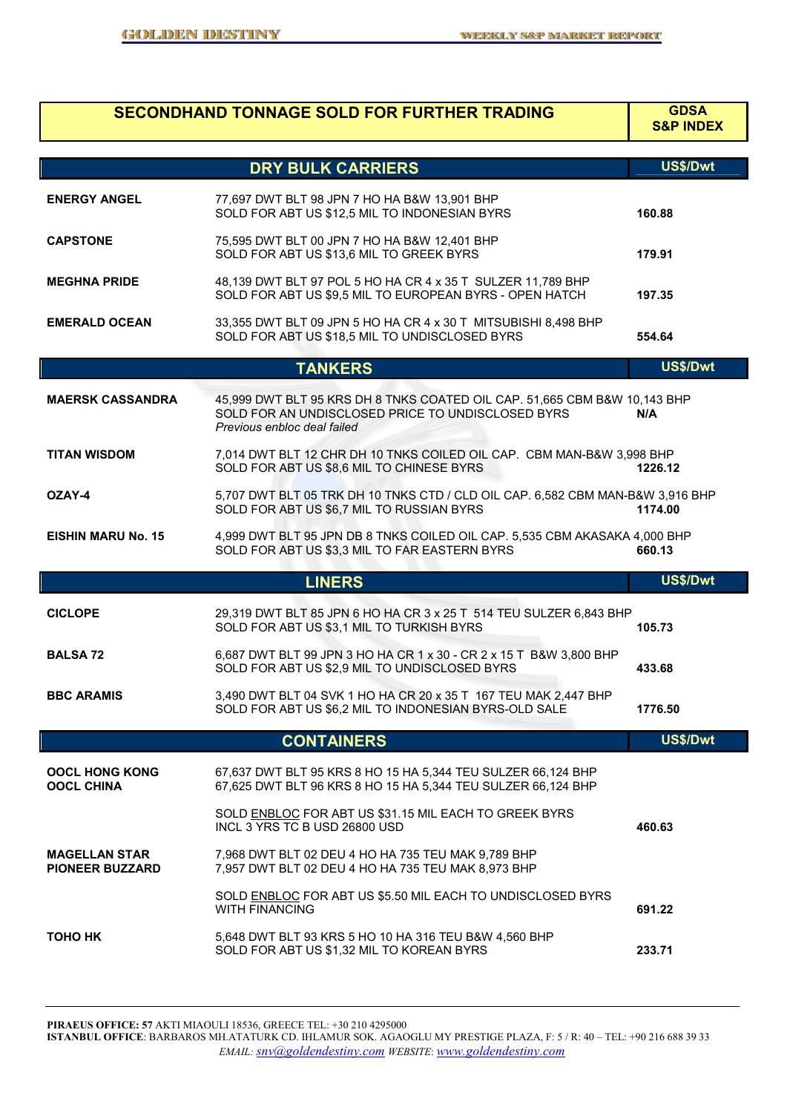# **SECONDHAND TONNAGE SOLD FOR FURTHER TRADING**

# **S&P INDEX**

|                                                | <b>DRY BULK CARRIERS</b>                                                                                                                                      | US\$/Dwt |
|------------------------------------------------|---------------------------------------------------------------------------------------------------------------------------------------------------------------|----------|
| <b>ENERGY ANGEL</b>                            | 77,697 DWT BLT 98 JPN 7 HO HA B&W 13,901 BHP<br>SOLD FOR ABT US \$12,5 MIL TO INDONESIAN BYRS                                                                 | 160.88   |
| <b>CAPSTONE</b>                                | 75,595 DWT BLT 00 JPN 7 HO HA B&W 12,401 BHP<br>SOLD FOR ABT US \$13,6 MIL TO GREEK BYRS                                                                      | 179.91   |
| <b>MEGHNA PRIDE</b>                            | 48,139 DWT BLT 97 POL 5 HO HA CR 4 x 35 T SULZER 11,789 BHP<br>SOLD FOR ABT US \$9,5 MIL TO EUROPEAN BYRS - OPEN HATCH                                        | 197.35   |
| <b>EMERALD OCEAN</b>                           | 33,355 DWT BLT 09 JPN 5 HO HA CR 4 x 30 T MITSUBISHI 8,498 BHP<br>SOLD FOR ABT US \$18,5 MIL TO UNDISCLOSED BYRS                                              | 554.64   |
|                                                | <b>TANKERS</b>                                                                                                                                                | US\$/Dwt |
| <b>MAERSK CASSANDRA</b>                        | 45,999 DWT BLT 95 KRS DH 8 TNKS COATED OIL CAP. 51,665 CBM B&W 10,143 BHP<br>SOLD FOR AN UNDISCLOSED PRICE TO UNDISCLOSED BYRS<br>Previous enbloc deal failed | N/A      |
| <b>TITAN WISDOM</b>                            | 7,014 DWT BLT 12 CHR DH 10 TNKS COILED OIL CAP. CBM MAN-B&W 3,998 BHP<br>SOLD FOR ABT US \$8,6 MIL TO CHINESE BYRS                                            | 1226.12  |
| OZAY-4                                         | 5,707 DWT BLT 05 TRK DH 10 TNKS CTD / CLD OIL CAP. 6,582 CBM MAN-B&W 3,916 BHP<br>SOLD FOR ABT US \$6,7 MIL TO RUSSIAN BYRS                                   | 1174.00  |
| <b>EISHIN MARU No. 15</b>                      | 4,999 DWT BLT 95 JPN DB 8 TNKS COILED OIL CAP. 5,535 CBM AKASAKA 4,000 BHP<br>SOLD FOR ABT US \$3,3 MIL TO FAR EASTERN BYRS                                   | 660.13   |
|                                                |                                                                                                                                                               |          |
|                                                | <b>LINERS</b>                                                                                                                                                 | US\$/Dwt |
| <b>CICLOPE</b>                                 | 29,319 DWT BLT 85 JPN 6 HO HA CR 3 x 25 T 514 TEU SULZER 6,843 BHP<br>SOLD FOR ABT US \$3,1 MIL TO TURKISH BYRS                                               | 105.73   |
| <b>BALSA 72</b>                                | 6,687 DWT BLT 99 JPN 3 HO HA CR 1 x 30 - CR 2 x 15 T B&W 3,800 BHP<br>SOLD FOR ABT US \$2,9 MIL TO UNDISCLOSED BYRS                                           | 433.68   |
| <b>BBC ARAMIS</b>                              | 3,490 DWT BLT 04 SVK 1 HO HA CR 20 x 35 T 167 TEU MAK 2,447 BHP<br>SOLD FOR ABT US \$6,2 MIL TO INDONESIAN BYRS-OLD SALE                                      | 1776.50  |
|                                                | <b>CONTAINERS</b>                                                                                                                                             | US\$/Dwt |
| <b>OOCL HONG KONG</b><br><b>OOCL CHINA</b>     | 67,637 DWT BLT 95 KRS 8 HO 15 HA 5,344 TEU SULZER 66,124 BHP<br>67,625 DWT BLT 96 KRS 8 HO 15 HA 5,344 TEU SULZER 66,124 BHP                                  |          |
|                                                | SOLD ENBLOC FOR ABT US \$31.15 MIL EACH TO GREEK BYRS<br>INCL 3 YRS TC B USD 26800 USD                                                                        | 460.63   |
| <b>MAGELLAN STAR</b><br><b>PIONEER BUZZARD</b> | 7,968 DWT BLT 02 DEU 4 HO HA 735 TEU MAK 9,789 BHP<br>7,957 DWT BLT 02 DEU 4 HO HA 735 TEU MAK 8,973 BHP                                                      |          |
|                                                | SOLD ENBLOC FOR ABT US \$5.50 MIL EACH TO UNDISCLOSED BYRS<br><b>WITH FINANCING</b>                                                                           | 691.22   |

**PIRAEUS OFFICE: 57** AKTI MIAOULI 18536, GREECE TEL: +30 210 4295000 **ISTANBUL OFFICE**: BARBAROS MH.ATATURK CD. IHLAMUR SOK. AGAOGLU MY PRESTIGE PLAZA, F: 5 / R: 40 – TEL: +90 216 688 39 33 *EMAIL: snv@goldendestiny.com WEBSITE*: *www.goldendestiny.com*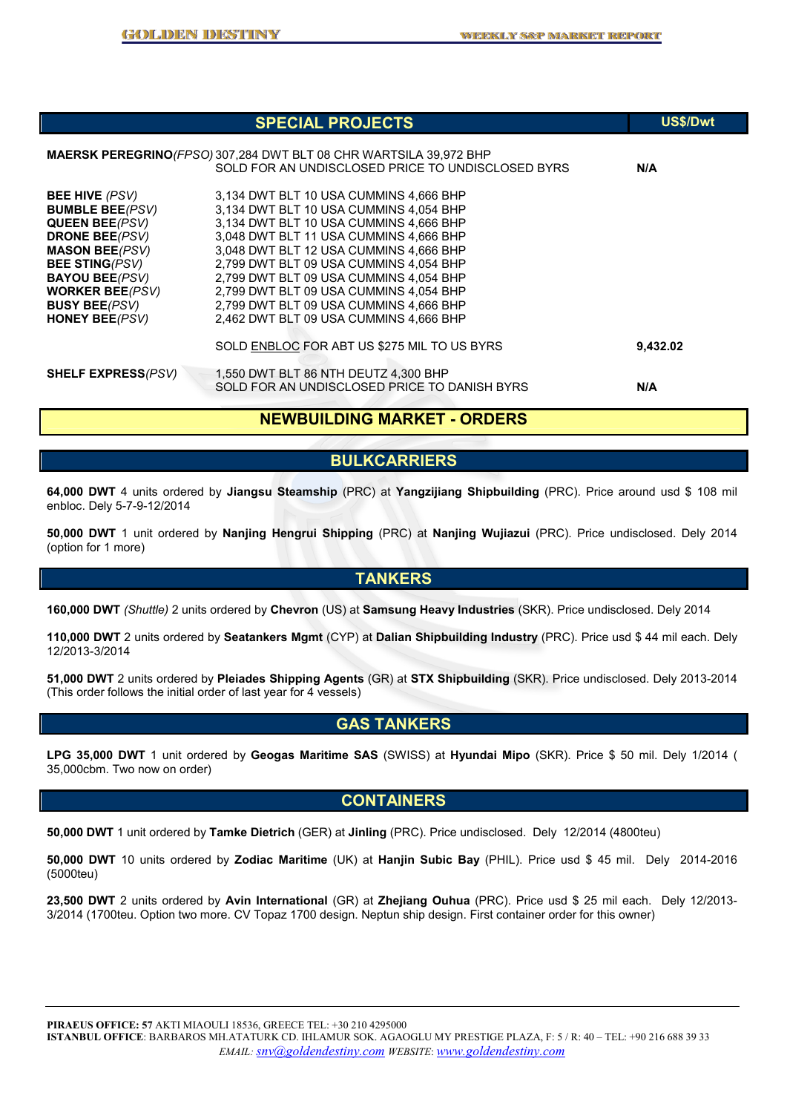|                                                                                                                                                                                                                                                             | <b>SPECIAL PROJECTS</b>                                                                                                                                                                                                                                                                                                                                                                                                          | <b>US\$/Dwt</b> |
|-------------------------------------------------------------------------------------------------------------------------------------------------------------------------------------------------------------------------------------------------------------|----------------------------------------------------------------------------------------------------------------------------------------------------------------------------------------------------------------------------------------------------------------------------------------------------------------------------------------------------------------------------------------------------------------------------------|-----------------|
|                                                                                                                                                                                                                                                             | <b>MAERSK PEREGRINO</b> <i>(FPSO)</i> 307,284 DWT BLT 08 CHR WARTSILA 39,972 BHP<br>SOLD FOR AN UNDISCLOSED PRICE TO UNDISCLOSED BYRS                                                                                                                                                                                                                                                                                            | N/A             |
| <b>BEE HIVE</b> (PSV)<br><b>BUMBLE BEE</b> (PSV)<br><b>QUEEN BEE(PSV)</b><br><b>DRONE BEE</b> (PSV)<br><b>MASON BEE(PSV)</b><br><b>BEE STING(PSV)</b><br><b>BAYOU BEE(PSV)</b><br><b>WORKER BEE(PSV)</b><br><b>BUSY BEE</b> (PSV)<br><b>HONEY BEE</b> (PSV) | 3,134 DWT BLT 10 USA CUMMINS 4,666 BHP<br>3,134 DWT BLT 10 USA CUMMINS 4,054 BHP<br>3,134 DWT BLT 10 USA CUMMINS 4,666 BHP<br>3,048 DWT BLT 11 USA CUMMINS 4,666 BHP<br>3,048 DWT BLT 12 USA CUMMINS 4,666 BHP<br>2,799 DWT BLT 09 USA CUMMINS 4,054 BHP<br>2,799 DWT BLT 09 USA CUMMINS 4,054 BHP<br>2,799 DWT BLT 09 USA CUMMINS 4,054 BHP<br>2,799 DWT BLT 09 USA CUMMINS 4,666 BHP<br>2,462 DWT BLT 09 USA CUMMINS 4,666 BHP |                 |
|                                                                                                                                                                                                                                                             | SOLD ENBLOC FOR ABT US \$275 MIL TO US BYRS                                                                                                                                                                                                                                                                                                                                                                                      | 9,432.02        |
| <b>SHELF EXPRESS(PSV)</b>                                                                                                                                                                                                                                   | 1,550 DWT BLT 86 NTH DEUTZ 4,300 BHP<br>SOLD FOR AN UNDISCLOSED PRICE TO DANISH BYRS                                                                                                                                                                                                                                                                                                                                             | N/A             |

### **NEWBUILDING MARKET - ORDERS**

#### **BULKCARRIERS**

**64,000 DWT** 4 units ordered by **Jiangsu Steamship** (PRC) at **Yangzijiang Shipbuilding** (PRC). Price around usd \$ 108 mil enbloc. Dely 5-7-9-12/2014

**50,000 DWT** 1 unit ordered by **Nanjing Hengrui Shipping** (PRC) at **Nanjing Wujiazui** (PRC). Price undisclosed. Dely 2014 (option for 1 more)

## **TANKERS**

**160,000 DWT** *(Shuttle)* 2 units ordered by **Chevron** (US) at **Samsung Heavy Industries** (SKR). Price undisclosed. Dely 2014

**110,000 DWT** 2 units ordered by **Seatankers Mgmt** (CYP) at **Dalian Shipbuilding Industry** (PRC). Price usd \$ 44 mil each. Dely 12/2013-3/2014

**51,000 DWT** 2 units ordered by **Pleiades Shipping Agents** (GR) at **STX Shipbuilding** (SKR). Price undisclosed. Dely 2013-2014 (This order follows the initial order of last year for 4 vessels)

#### **GAS TANKERS**

**LPG 35,000 DWT** 1 unit ordered by **Geogas Maritime SAS** (SWISS) at **Hyundai Mipo** (SKR). Price \$ 50 mil. Dely 1/2014 ( 35,000cbm. Two now on order)

#### **CONTAINERS**

**50,000 DWT** 1 unit ordered by **Tamke Dietrich** (GER) at **Jinling** (PRC). Price undisclosed. Dely 12/2014 (4800teu)

**50,000 DWT** 10 units ordered by **Zodiac Maritime** (UK) at **Hanjin Subic Bay** (PHIL). Price usd \$ 45 mil. Dely 2014-2016 (5000teu)

**23,500 DWT** 2 units ordered by **Avin International** (GR) at **Zhejiang Ouhua** (PRC). Price usd \$ 25 mil each. Dely 12/2013- 3/2014 (1700teu. Option two more. CV Topaz 1700 design. Neptun ship design. First container order for this owner)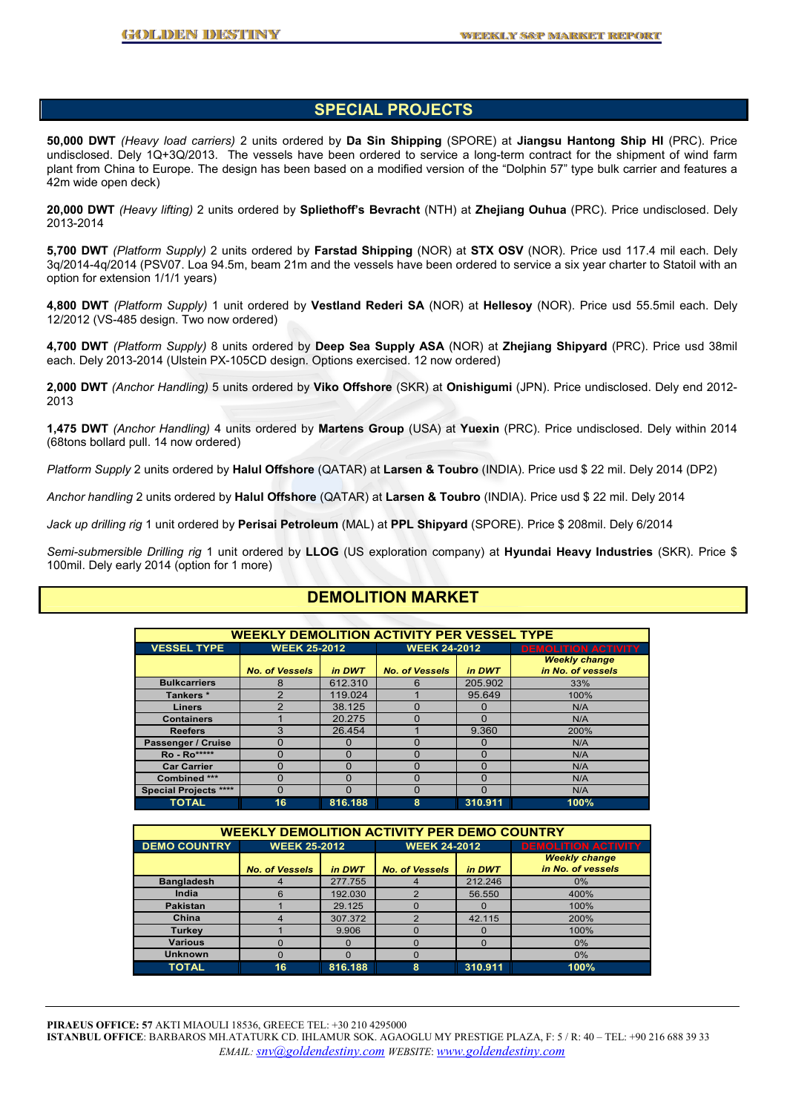#### **SPECIAL PROJECTS**

**50,000 DWT** *(Heavy load carriers)* 2 units ordered by **Da Sin Shipping** (SPORE) at **Jiangsu Hantong Ship HI** (PRC). Price undisclosed. Dely 1Q+3Q/2013. The vessels have been ordered to service a long-term contract for the shipment of wind farm plant from China to Europe. The design has been based on a modified version of the "Dolphin 57" type bulk carrier and features a 42m wide open deck)

**20,000 DWT** *(Heavy lifting)* 2 units ordered by **Spliethoff's Bevracht** (NTH) at **Zhejiang Ouhua** (PRC). Price undisclosed. Dely 2013-2014

**5,700 DWT** *(Platform Supply)* 2 units ordered by **Farstad Shipping** (NOR) at **STX OSV** (NOR). Price usd 117.4 mil each. Dely 3q/2014-4q/2014 (PSV07. Loa 94.5m, beam 21m and the vessels have been ordered to service a six year charter to Statoil with an option for extension 1/1/1 years)

**4,800 DWT** *(Platform Supply)* 1 unit ordered by **Vestland Rederi SA** (NOR) at **Hellesoy** (NOR). Price usd 55.5mil each. Dely 12/2012 (VS-485 design. Two now ordered)

**4,700 DWT** *(Platform Supply)* 8 units ordered by **Deep Sea Supply ASA** (NOR) at **Zhejiang Shipyard** (PRC). Price usd 38mil each. Dely 2013-2014 (Ulstein PX-105CD design. Options exercised. 12 now ordered)

**2,000 DWT** *(Anchor Handling)* 5 units ordered by **Viko Offshore** (SKR) at **Onishigumi** (JPN). Price undisclosed. Dely end 2012- 2013

**1,475 DWT** *(Anchor Handling)* 4 units ordered by **Martens Group** (USA) at **Yuexin** (PRC). Price undisclosed. Dely within 2014 (68tons bollard pull. 14 now ordered)

*Platform Supply* 2 units ordered by **Halul Offshore** (QATAR) at **Larsen & Toubro** (INDIA). Price usd \$ 22 mil. Dely 2014 (DP2)

*Anchor handling* 2 units ordered by **Halul Offshore** (QATAR) at **Larsen & Toubro** (INDIA). Price usd \$ 22 mil. Dely 2014

*Jack up drilling rig* 1 unit ordered by **Perisai Petroleum** (MAL) at **PPL Shipyard** (SPORE). Price \$ 208mil. Dely 6/2014

*Semi-submersible Drilling rig* 1 unit ordered by **LLOG** (US exploration company) at **Hyundai Heavy Industries** (SKR). Price \$ 100mil. Dely early 2014 (option for 1 more)

## **DEMOLITION MARKET**

| <b>WEEKLY DEMOLITION ACTIVITY PER VESSEL TYPE</b> |                                 |          |                                 |          |                                           |  |  |  |
|---------------------------------------------------|---------------------------------|----------|---------------------------------|----------|-------------------------------------------|--|--|--|
| <b>VESSEL TYPE</b>                                | <b>WEEK 25-2012</b>             |          | <b>WEEK 24-2012</b>             |          | <b>DEMOLITION ACTIVITY</b>                |  |  |  |
|                                                   | <b>No. of Vessels</b><br>in DWT |          | <b>No. of Vessels</b><br>in DWT |          | <b>Weekly change</b><br>in No. of vessels |  |  |  |
| <b>Bulkcarriers</b>                               | 8                               | 612.310  | 6                               | 205.902  | 33%                                       |  |  |  |
| Tankers *                                         | $\mathcal{P}$                   | 119.024  |                                 | 95.649   | 100%                                      |  |  |  |
| <b>Liners</b>                                     | $\mathcal{P}$                   | 38.125   | O                               | 0        | N/A                                       |  |  |  |
| <b>Containers</b>                                 |                                 | 20.275   | $\Omega$                        | O        | N/A                                       |  |  |  |
| <b>Reefers</b>                                    | 3                               | 26.454   |                                 | 9.360    | 200%                                      |  |  |  |
| Passenger / Cruise                                | O                               | O        | O                               | $\Omega$ | N/A                                       |  |  |  |
| <b>Ro</b> - Ro*****                               | $\Omega$                        | $\Omega$ | n                               | $\Omega$ | N/A                                       |  |  |  |
| <b>Car Carrier</b>                                | O                               | ი        | n                               | 0        | N/A                                       |  |  |  |
| Combined ***                                      | O                               | 0        | n                               | $\Omega$ | N/A                                       |  |  |  |
| <b>Special Projects ****</b>                      | 0                               | O        | n                               | $\Omega$ | N/A                                       |  |  |  |
| <b>TOTAL</b>                                      | 16                              | 816.188  | 8                               | 310.911  | 100%                                      |  |  |  |

| <b>WEEKLY DEMOLITION ACTIVITY PER DEMO COUNTRY</b> |                                 |         |                                 |          |                                           |  |  |  |
|----------------------------------------------------|---------------------------------|---------|---------------------------------|----------|-------------------------------------------|--|--|--|
| <b>DEMO COUNTRY</b>                                | <b>WEEK 25-2012</b>             |         | <b>WEEK 24-2012</b>             |          | <b>DEMOLITION ACTIVITY</b>                |  |  |  |
|                                                    | <b>No. of Vessels</b><br>in DWT |         | <b>No. of Vessels</b><br>in DWT |          | <b>Weekly change</b><br>in No. of vessels |  |  |  |
| <b>Bangladesh</b>                                  |                                 | 277.755 | 4                               | 212.246  | $0\%$                                     |  |  |  |
| India                                              | 6                               | 192.030 | 0                               | 56.550   | 400%                                      |  |  |  |
| <b>Pakistan</b>                                    |                                 | 29.125  | $\Omega$                        | $\Omega$ | 100%                                      |  |  |  |
| China                                              |                                 | 307.372 | 0                               | 42.115   | 200%                                      |  |  |  |
| Turkey                                             |                                 | 9.906   | $\Omega$                        | $\Omega$ | 100%                                      |  |  |  |
| <b>Various</b>                                     |                                 |         | $\Omega$                        | $\Omega$ | 0%                                        |  |  |  |
| <b>Unknown</b>                                     | $\Omega$                        | O       | $\Omega$                        |          | $0\%$                                     |  |  |  |
| <b>TOTAL</b>                                       | 16                              | 816.188 | 8                               | 310.911  | 100%                                      |  |  |  |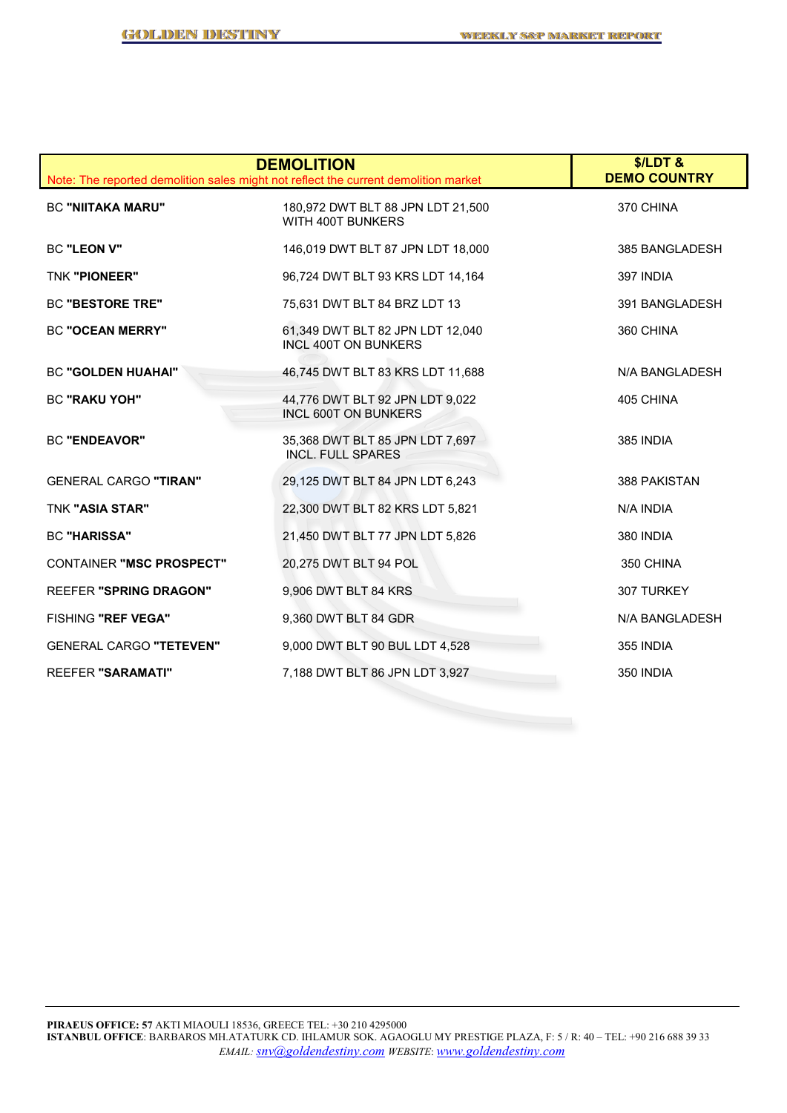|                                 | <b>DEMOLITION</b><br>Note: The reported demolition sales might not reflect the current demolition market | $$/LDT$ &<br><b>DEMO COUNTRY</b> |
|---------------------------------|----------------------------------------------------------------------------------------------------------|----------------------------------|
| <b>BC "NIITAKA MARU"</b>        | 180,972 DWT BLT 88 JPN LDT 21,500<br>WITH 400T BUNKERS                                                   | 370 CHINA                        |
| BC "LEON V"                     | 146,019 DWT BLT 87 JPN LDT 18,000                                                                        | 385 BANGLADESH                   |
| <b>TNK "PIONEER"</b>            | 96,724 DWT BLT 93 KRS LDT 14,164                                                                         | 397 INDIA                        |
| <b>BC "BESTORE TRE"</b>         | 75,631 DWT BLT 84 BRZ LDT 13                                                                             | 391 BANGLADESH                   |
| <b>BC "OCEAN MERRY"</b>         | 61,349 DWT BLT 82 JPN LDT 12,040<br><b>INCL 400T ON BUNKERS</b>                                          | 360 CHINA                        |
| <b>BC "GOLDEN HUAHAI"</b>       | 46,745 DWT BLT 83 KRS LDT 11,688                                                                         | N/A BANGLADESH                   |
| <b>BC "RAKU YOH"</b>            | 44,776 DWT BLT 92 JPN LDT 9,022<br><b>INCL 600T ON BUNKERS</b>                                           | 405 CHINA                        |
| <b>BC "ENDEAVOR"</b>            | 35,368 DWT BLT 85 JPN LDT 7,697<br><b>INCL. FULL SPARES</b>                                              | 385 INDIA                        |
| <b>GENERAL CARGO "TIRAN"</b>    | 29,125 DWT BLT 84 JPN LDT 6,243                                                                          | 388 PAKISTAN                     |
| <b>TNK "ASIA STAR"</b>          | 22,300 DWT BLT 82 KRS LDT 5,821                                                                          | N/A INDIA                        |
| <b>BC "HARISSA"</b>             | 21,450 DWT BLT 77 JPN LDT 5,826                                                                          | 380 INDIA                        |
| <b>CONTAINER "MSC PROSPECT"</b> | 20,275 DWT BLT 94 POL                                                                                    | 350 CHINA                        |
| <b>REEFER "SPRING DRAGON"</b>   | 9,906 DWT BLT 84 KRS                                                                                     | 307 TURKEY                       |
| FISHING "REF VEGA"              | 9,360 DWT BLT 84 GDR                                                                                     | N/A BANGLADESH                   |
| <b>GENERAL CARGO "TETEVEN"</b>  | 9,000 DWT BLT 90 BUL LDT 4,528                                                                           | 355 INDIA                        |
| <b>REEFER "SARAMATI"</b>        | 7,188 DWT BLT 86 JPN LDT 3,927                                                                           | 350 INDIA                        |